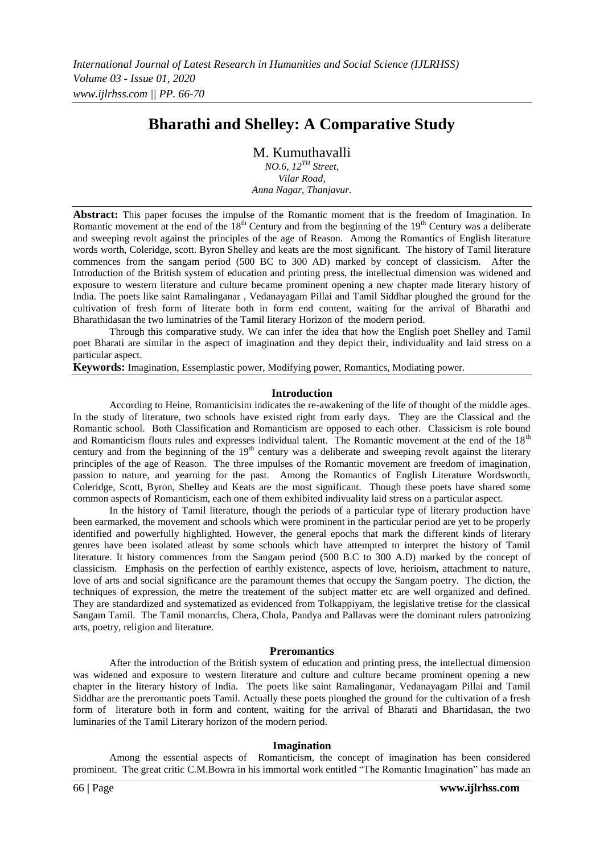# **Bharathi and Shelley: A Comparative Study**

M. Kumuthavalli

*NO.6, 12TH Street, Vilar Road, Anna Nagar, Thanjavur.*

**Abstract:** This paper focuses the impulse of the Romantic moment that is the freedom of Imagination. In Romantic movement at the end of the  $18<sup>th</sup>$  Century and from the beginning of the  $19<sup>th</sup>$  Century was a deliberate and sweeping revolt against the principles of the age of Reason. Among the Romantics of English literature words worth, Coleridge, scott. Byron Shelley and keats are the most significant. The history of Tamil literature commences from the sangam period (500 BC to 300 AD) marked by concept of classicism. After the Introduction of the British system of education and printing press, the intellectual dimension was widened and exposure to western literature and culture became prominent opening a new chapter made literary history of India. The poets like saint Ramalinganar , Vedanayagam Pillai and Tamil Siddhar ploughed the ground for the cultivation of fresh form of literate both in form end content, waiting for the arrival of Bharathi and Bharathidasan the two luminatries of the Tamil literary Horizon of the modern period.

Through this comparative study. We can infer the idea that how the English poet Shelley and Tamil poet Bharati are similar in the aspect of imagination and they depict their, individuality and laid stress on a particular aspect.

**Keywords:** Imagination, Essemplastic power, Modifying power, Romantics, Modiating power.

#### **Introduction**

According to Heine, Romanticisim indicates the re-awakening of the life of thought of the middle ages. In the study of literature, two schools have existed right from early days. They are the Classical and the Romantic school. Both Classification and Romanticism are opposed to each other. Classicism is role bound and Romanticism flouts rules and expresses individual talent. The Romantic movement at the end of the 18<sup>th</sup> century and from the beginning of the  $19<sup>th</sup>$  century was a deliberate and sweeping revolt against the literary principles of the age of Reason. The three impulses of the Romantic movement are freedom of imagination, passion to nature, and yearning for the past. Among the Romantics of English Literature Wordsworth, Coleridge, Scott, Byron, Shelley and Keats are the most significant. Though these poets have shared some common aspects of Romanticism, each one of them exhibited indivuality laid stress on a particular aspect.

In the history of Tamil literature, though the periods of a particular type of literary production have been earmarked, the movement and schools which were prominent in the particular period are yet to be properly identified and powerfully highlighted. However, the general epochs that mark the different kinds of literary genres have been isolated atleast by some schools which have attempted to interpret the history of Tamil literature. It history commences from the Sangam period (500 B.C to 300 A.D) marked by the concept of classicism. Emphasis on the perfection of earthly existence, aspects of love, herioism, attachment to nature, love of arts and social significance are the paramount themes that occupy the Sangam poetry. The diction, the techniques of expression, the metre the treatement of the subject matter etc are well organized and defined. They are standardized and systematized as evidenced from Tolkappiyam, the legislative tretise for the classical Sangam Tamil. The Tamil monarchs, Chera, Chola, Pandya and Pallavas were the dominant rulers patronizing arts, poetry, religion and literature.

#### **Preromantics**

After the introduction of the British system of education and printing press, the intellectual dimension was widened and exposure to western literature and culture and culture became prominent opening a new chapter in the literary history of India. The poets like saint Ramalinganar, Vedanayagam Pillai and Tamil Siddhar are the preromantic poets Tamil. Actually these poets ploughed the ground for the cultivation of a fresh form of literature both in form and content, waiting for the arrival of Bharati and Bhartidasan, the two luminaries of the Tamil Literary horizon of the modern period.

#### **Imagination**

Among the essential aspects of Romanticism, the concept of imagination has been considered prominent. The great critic C.M.Bowra in his immortal work entitled "The Romantic Imagination" has made an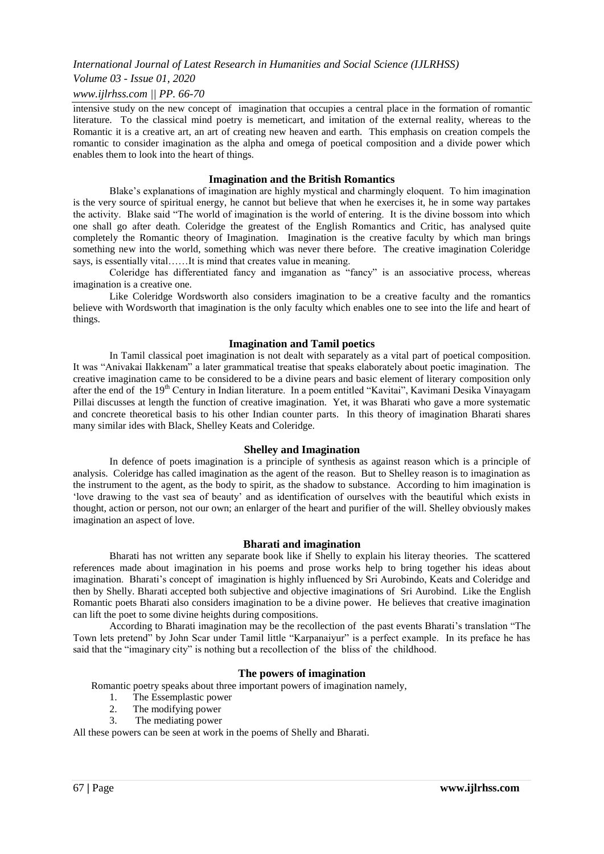## *International Journal of Latest Research in Humanities and Social Science (IJLRHSS)*

## *Volume 03 - Issue 01, 2020*

### *www.ijlrhss.com || PP. 66-70*

intensive study on the new concept of imagination that occupies a central place in the formation of romantic literature. To the classical mind poetry is memeticart, and imitation of the external reality, whereas to the Romantic it is a creative art, an art of creating new heaven and earth. This emphasis on creation compels the romantic to consider imagination as the alpha and omega of poetical composition and a divide power which enables them to look into the heart of things.

#### **Imagination and the British Romantics**

Blake"s explanations of imagination are highly mystical and charmingly eloquent. To him imagination is the very source of spiritual energy, he cannot but believe that when he exercises it, he in some way partakes the activity. Blake said "The world of imagination is the world of entering. It is the divine bossom into which one shall go after death. Coleridge the greatest of the English Romantics and Critic, has analysed quite completely the Romantic theory of Imagination. Imagination is the creative faculty by which man brings something new into the world, something which was never there before. The creative imagination Coleridge says, is essentially vital……It is mind that creates value in meaning.

Coleridge has differentiated fancy and imganation as "fancy" is an associative process, whereas imagination is a creative one.

Like Coleridge Wordsworth also considers imagination to be a creative faculty and the romantics believe with Wordsworth that imagination is the only faculty which enables one to see into the life and heart of things.

## **Imagination and Tamil poetics**

In Tamil classical poet imagination is not dealt with separately as a vital part of poetical composition. It was "Anivakai Ilakkenam" a later grammatical treatise that speaks elaborately about poetic imagination. The creative imagination came to be considered to be a divine pears and basic element of literary composition only after the end of the 19<sup>th</sup> Century in Indian literature. In a poem entitled "Kavitai", Kavimani Desika Vinayagam Pillai discusses at length the function of creative imagination. Yet, it was Bharati who gave a more systematic and concrete theoretical basis to his other Indian counter parts. In this theory of imagination Bharati shares many similar ides with Black, Shelley Keats and Coleridge.

#### **Shelley and Imagination**

In defence of poets imagination is a principle of synthesis as against reason which is a principle of analysis. Coleridge has called imagination as the agent of the reason. But to Shelley reason is to imagination as the instrument to the agent, as the body to spirit, as the shadow to substance. According to him imagination is "love drawing to the vast sea of beauty" and as identification of ourselves with the beautiful which exists in thought, action or person, not our own; an enlarger of the heart and purifier of the will. Shelley obviously makes imagination an aspect of love.

#### **Bharati and imagination**

Bharati has not written any separate book like if Shelly to explain his literay theories. The scattered references made about imagination in his poems and prose works help to bring together his ideas about imagination. Bharati's concept of imagination is highly influenced by Sri Aurobindo, Keats and Coleridge and then by Shelly. Bharati accepted both subjective and objective imaginations of Sri Aurobind. Like the English Romantic poets Bharati also considers imagination to be a divine power. He believes that creative imagination can lift the poet to some divine heights during compositions.

According to Bharati imagination may be the recollection of the past events Bharati"s translation "The Town lets pretend" by John Scar under Tamil little "Karpanaiyur" is a perfect example. In its preface he has said that the "imaginary city" is nothing but a recollection of the bliss of the childhood.

## **The powers of imagination**

Romantic poetry speaks about three important powers of imagination namely,

- 1. The Essemplastic power
- 2. The modifying power
- 3. The mediating power

All these powers can be seen at work in the poems of Shelly and Bharati.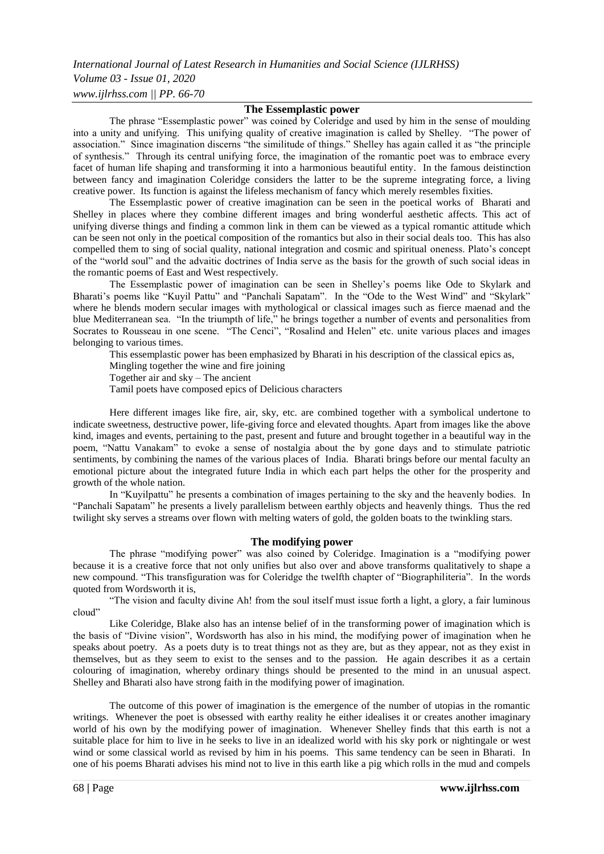*International Journal of Latest Research in Humanities and Social Science (IJLRHSS) Volume 03 - Issue 01, 2020 www.ijlrhss.com || PP. 66-70*

## **The Essemplastic power**

The phrase "Essemplastic power" was coined by Coleridge and used by him in the sense of moulding into a unity and unifying. This unifying quality of creative imagination is called by Shelley. "The power of association." Since imagination discerns "the similitude of things." Shelley has again called it as "the principle of synthesis." Through its central unifying force, the imagination of the romantic poet was to embrace every facet of human life shaping and transforming it into a harmonious beautiful entity. In the famous deistinction between fancy and imagination Coleridge considers the latter to be the supreme integrating force, a living creative power. Its function is against the lifeless mechanism of fancy which merely resembles fixities.

The Essemplastic power of creative imagination can be seen in the poetical works of Bharati and Shelley in places where they combine different images and bring wonderful aesthetic affects. This act of unifying diverse things and finding a common link in them can be viewed as a typical romantic attitude which can be seen not only in the poetical composition of the romantics but also in their social deals too. This has also compelled them to sing of social quality, national integration and cosmic and spiritual oneness. Plato's concept of the "world soul" and the advaitic doctrines of India serve as the basis for the growth of such social ideas in the romantic poems of East and West respectively.

The Essemplastic power of imagination can be seen in Shelley"s poems like Ode to Skylark and Bharati's poems like "Kuyil Pattu" and "Panchali Sapatam". In the "Ode to the West Wind" and "Skylark" where he blends modern secular images with mythological or classical images such as fierce maenad and the blue Mediterranean sea. "In the triumpth of life," he brings together a number of events and personalities from Socrates to Rousseau in one scene. "The Cenci", "Rosalind and Helen" etc. unite various places and images belonging to various times.

This essemplastic power has been emphasized by Bharati in his description of the classical epics as,

Mingling together the wine and fire joining

Together air and sky – The ancient

Tamil poets have composed epics of Delicious characters

Here different images like fire, air, sky, etc. are combined together with a symbolical undertone to indicate sweetness, destructive power, life-giving force and elevated thoughts. Apart from images like the above kind, images and events, pertaining to the past, present and future and brought together in a beautiful way in the poem, "Nattu Vanakam" to evoke a sense of nostalgia about the by gone days and to stimulate patriotic sentiments, by combining the names of the various places of India. Bharati brings before our mental faculty an emotional picture about the integrated future India in which each part helps the other for the prosperity and growth of the whole nation.

In "Kuyilpattu" he presents a combination of images pertaining to the sky and the heavenly bodies. In "Panchali Sapatam" he presents a lively parallelism between earthly objects and heavenly things. Thus the red twilight sky serves a streams over flown with melting waters of gold, the golden boats to the twinkling stars.

## **The modifying power**

The phrase "modifying power" was also coined by Coleridge. Imagination is a "modifying power because it is a creative force that not only unifies but also over and above transforms qualitatively to shape a new compound. "This transfiguration was for Coleridge the twelfth chapter of "Biographiliteria". In the words quoted from Wordsworth it is,

"The vision and faculty divine Ah! from the soul itself must issue forth a light, a glory, a fair luminous cloud"

Like Coleridge, Blake also has an intense belief of in the transforming power of imagination which is the basis of "Divine vision", Wordsworth has also in his mind, the modifying power of imagination when he speaks about poetry. As a poets duty is to treat things not as they are, but as they appear, not as they exist in themselves, but as they seem to exist to the senses and to the passion. He again describes it as a certain colouring of imagination, whereby ordinary things should be presented to the mind in an unusual aspect. Shelley and Bharati also have strong faith in the modifying power of imagination.

The outcome of this power of imagination is the emergence of the number of utopias in the romantic writings. Whenever the poet is obsessed with earthy reality he either idealises it or creates another imaginary world of his own by the modifying power of imagination. Whenever Shelley finds that this earth is not a suitable place for him to live in he seeks to live in an idealized world with his sky pork or nightingale or west wind or some classical world as revised by him in his poems. This same tendency can be seen in Bharati. In one of his poems Bharati advises his mind not to live in this earth like a pig which rolls in the mud and compels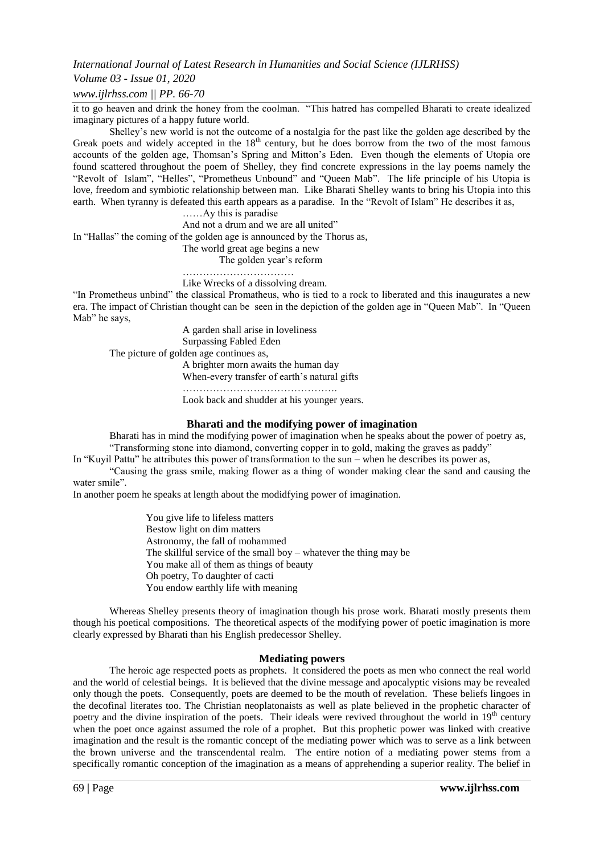*International Journal of Latest Research in Humanities and Social Science (IJLRHSS)*

## *Volume 03 - Issue 01, 2020*

## *www.ijlrhss.com || PP. 66-70*

it to go heaven and drink the honey from the coolman. "This hatred has compelled Bharati to create idealized imaginary pictures of a happy future world.

Shelley"s new world is not the outcome of a nostalgia for the past like the golden age described by the Greak poets and widely accepted in the 18<sup>th</sup> century, but he does borrow from the two of the most famous accounts of the golden age, Thomsan"s Spring and Mitton"s Eden. Even though the elements of Utopia ore found scattered throughout the poem of Shelley, they find concrete expressions in the lay poems namely the "Revolt of Islam", "Helles", "Prometheus Unbound" and "Queen Mab". The life principle of his Utopia is love, freedom and symbiotic relationship between man. Like Bharati Shelley wants to bring his Utopia into this earth. When tyranny is defeated this earth appears as a paradise. In the "Revolt of Islam" He describes it as,

……Ay this is paradise

And not a drum and we are all united"

In "Hallas" the coming of the golden age is announced by the Thorus as,

The world great age begins a new The golden year's reform

……………………………

Like Wrecks of a dissolving dream. "In Prometheus unbind" the classical Promatheus, who is tied to a rock to liberated and this inaugurates a new era. The impact of Christian thought can be seen in the depiction of the golden age in "Queen Mab". In "Queen Mab" he says,

A garden shall arise in loveliness Surpassing Fabled Eden The picture of golden age continues as, A brighter morn awaits the human day

When-every transfer of earth's natural gifts

Look back and shudder at his younger years.

……………………………………….

## **Bharati and the modifying power of imagination**

Bharati has in mind the modifying power of imagination when he speaks about the power of poetry as, "Transforming stone into diamond, converting copper in to gold, making the graves as paddy"

In "Kuyil Pattu" he attributes this power of transformation to the sun – when he describes its power as,

"Causing the grass smile, making flower as a thing of wonder making clear the sand and causing the water smile".

In another poem he speaks at length about the modidfying power of imagination.

You give life to lifeless matters Bestow light on dim matters Astronomy, the fall of mohammed The skillful service of the small boy – whatever the thing may be You make all of them as things of beauty Oh poetry, To daughter of cacti You endow earthly life with meaning

Whereas Shelley presents theory of imagination though his prose work. Bharati mostly presents them though his poetical compositions. The theoretical aspects of the modifying power of poetic imagination is more clearly expressed by Bharati than his English predecessor Shelley.

#### **Mediating powers**

The heroic age respected poets as prophets. It considered the poets as men who connect the real world and the world of celestial beings. It is believed that the divine message and apocalyptic visions may be revealed only though the poets. Consequently, poets are deemed to be the mouth of revelation. These beliefs lingoes in the decofinal literates too. The Christian neoplatonaists as well as plate believed in the prophetic character of poetry and the divine inspiration of the poets. Their ideals were revived throughout the world in 19<sup>th</sup> century when the poet once against assumed the role of a prophet. But this prophetic power was linked with creative imagination and the result is the romantic concept of the mediating power which was to serve as a link between the brown universe and the transcendental realm. The entire notion of a mediating power stems from a specifically romantic conception of the imagination as a means of apprehending a superior reality. The belief in